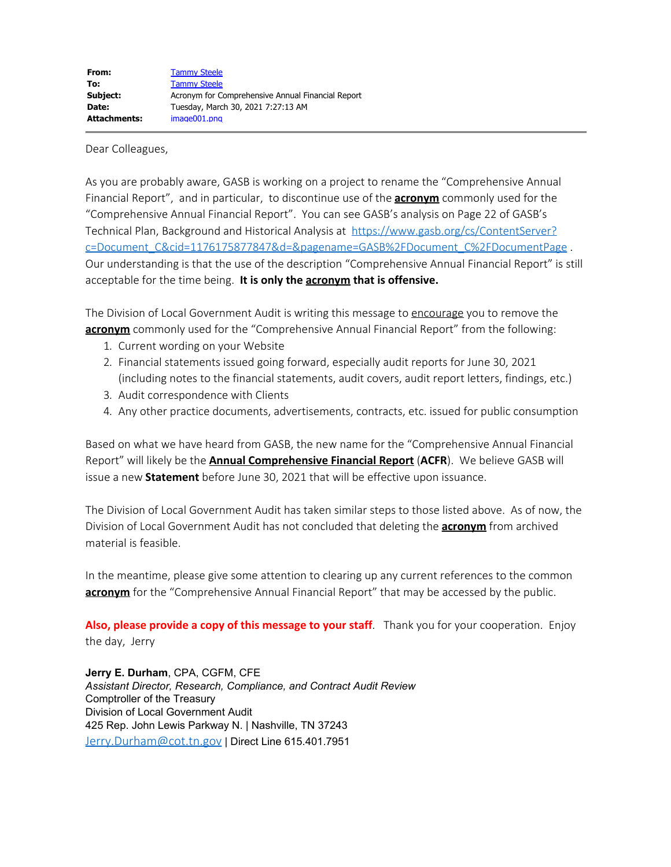Dear Colleagues,

As you are probably aware, GASB is working on a project to rename the "Comprehensive Annual Financial Report", and in particular, to discontinue use of the **acronym** commonly used for the "Comprehensive Annual Financial Report". You can see GASB's analysis on Page 22 of GASB's Technical Plan, Background and Historical Analysis at [https://www.gasb.org/cs/ContentServer?](https://www.gasb.org/cs/ContentServer?c=Document_C&cid=1176175877847&d=&pagename=GASB%2FDocument_C%2FDocumentPage) [c=Document\\_C&cid=1176175877847&d=&pagename=GASB%2FDocument\\_C%2FDocumentPage](https://www.gasb.org/cs/ContentServer?c=Document_C&cid=1176175877847&d=&pagename=GASB%2FDocument_C%2FDocumentPage) . Our understanding is that the use of the description "Comprehensive Annual Financial Report" is still acceptable for the time being. **It is only the acronym that is offensive.**

The Division of Local Government Audit is writing this message to encourage you to remove the **acronym** commonly used for the "Comprehensive Annual Financial Report" from the following:

- 1. Current wording on your Website
- 2. Financial statements issued going forward, especially audit reports for June 30, 2021 (including notes to the financial statements, audit covers, audit report letters, findings, etc.)
- 3. Audit correspondence with Clients
- 4. Any other practice documents, advertisements, contracts, etc. issued for public consumption

Based on what we have heard from GASB, the new name for the "Comprehensive Annual Financial Report" will likely be the **Annual Comprehensive Financial Report** (**ACFR**). We believe GASB will issue a new **Statement** before June 30, 2021 that will be effective upon issuance.

The Division of Local Government Audit has taken similar steps to those listed above. As of now, the Division of Local Government Audit has not concluded that deleting the **acronym** from archived material is feasible.

In the meantime, please give some attention to clearing up any current references to the common **acronym** for the "Comprehensive Annual Financial Report" that may be accessed by the public.

**Also, please provide a copy of this message to your staff**. Thank you for your cooperation. Enjoy the day, Jerry

**Jerry E. Durham**, CPA, CGFM, CFE *Assistant Director, Research, Compliance, and Contract Audit Review* Comptroller of the Treasury Division of Local Government Audit 425 Rep. John Lewis Parkway N. | Nashville, TN 37243 [Jerry.Durham@cot.tn.gov](mailto:Jerry.Durham@cot.tn.gov) | Direct Line 615.401.7951